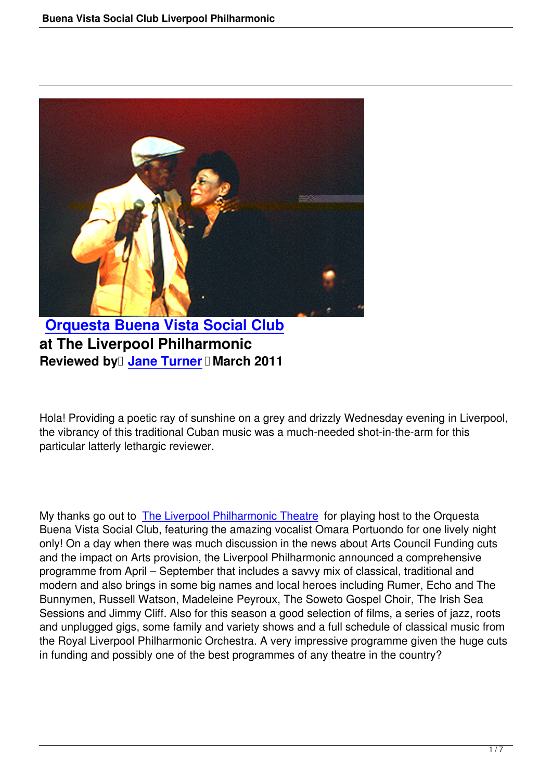

**Orquesta Buena Vista Social Club at The Liverpool Philharmonic [Reviewed by](buena-vista-social-club-liverpool-philharmonic.html) Jane Turner I March 2011** 

Hola! Providing a [poetic ray of su](people.html#jane-turner)nshine on a grey and drizzly Wednesday evening in Liverpool, the vibrancy of this traditional Cuban music was a much-needed shot-in-the-arm for this particular latterly lethargic reviewer.

My thanks go out to The Liverpool Philharmonic Theatre for playing host to the Orquesta Buena Vista Social Club, featuring the amazing vocalist Omara Portuondo for one lively night only! On a day when there was much discussion in the news about Arts Council Funding cuts and the impact on A[rts provision, the Liverpool Philharmo](http://www.liverpoolphil.com/)nic announced a comprehensive programme from April – September that includes a savvy mix of classical, traditional and modern and also brings in some big names and local heroes including Rumer, Echo and The Bunnymen, Russell Watson, Madeleine Peyroux, The Soweto Gospel Choir, The Irish Sea Sessions and Jimmy Cliff. Also for this season a good selection of films, a series of jazz, roots and unplugged gigs, some family and variety shows and a full schedule of classical music from the Royal Liverpool Philharmonic Orchestra. A very impressive programme given the huge cuts in funding and possibly one of the best programmes of any theatre in the country?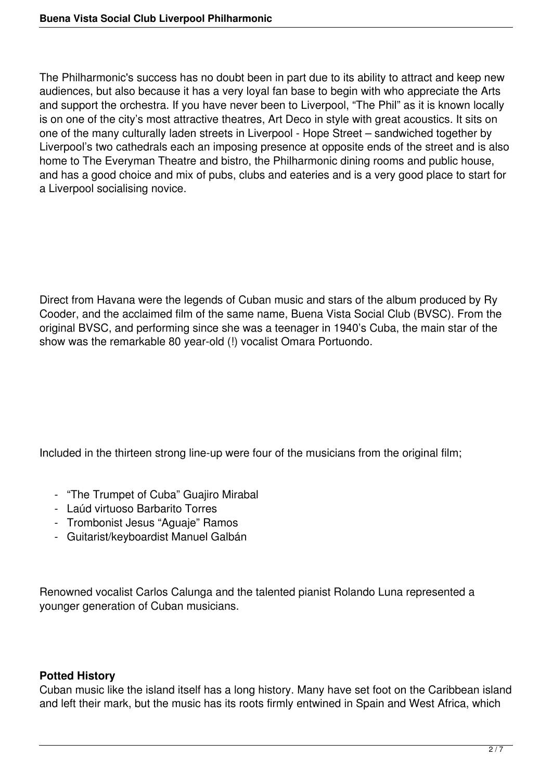The Philharmonic's success has no doubt been in part due to its ability to attract and keep new audiences, but also because it has a very loyal fan base to begin with who appreciate the Arts and support the orchestra. If you have never been to Liverpool, "The Phil" as it is known locally is on one of the city's most attractive theatres, Art Deco in style with great acoustics. It sits on one of the many culturally laden streets in Liverpool - Hope Street – sandwiched together by Liverpool's two cathedrals each an imposing presence at opposite ends of the street and is also home to The Everyman Theatre and bistro, the Philharmonic dining rooms and public house, and has a good choice and mix of pubs, clubs and eateries and is a very good place to start for a Liverpool socialising novice.

Direct from Havana were the legends of Cuban music and stars of the album produced by Ry Cooder, and the acclaimed film of the same name, Buena Vista Social Club (BVSC). From the original BVSC, and performing since she was a teenager in 1940's Cuba, the main star of the show was the remarkable 80 year-old (!) vocalist Omara Portuondo.

Included in the thirteen strong line-up were four of the musicians from the original film;

- "The Trumpet of Cuba" Guajiro Mirabal
- Laúd virtuoso Barbarito Torres
- Trombonist Jesus "Aguaje" Ramos
- Guitarist/keyboardist Manuel Galbán

Renowned vocalist Carlos Calunga and the talented pianist Rolando Luna represented a younger generation of Cuban musicians.

## **Potted History**

Cuban music like the island itself has a long history. Many have set foot on the Caribbean island and left their mark, but the music has its roots firmly entwined in Spain and West Africa, which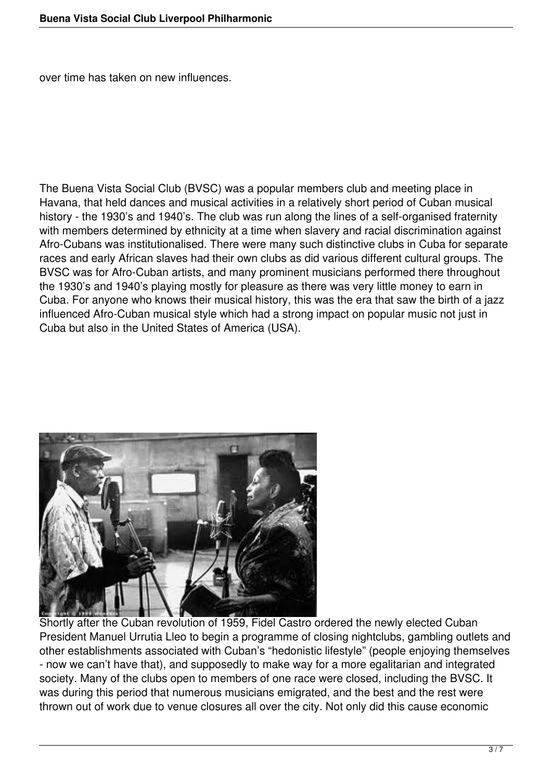over time has taken on new influences.

The Buena Vista Social Club (BVSC) was a popular members club and meeting place in Havana, that held dances and musical activities in a relatively short period of Cuban musical history - the 1930's and 1940's. The club was run along the lines of a self-organised fraternity with members determined by ethnicity at a time when slavery and racial discrimination against Afro-Cubans was institutionalised. There were many such distinctive clubs in Cuba for separate races and early African slaves had their own clubs as did various different cultural groups. The BVSC was for Afro-Cuban artists, and many prominent musicians performed there throughout the 1930's and 1940's playing mostly for pleasure as there was very little money to earn in Cuba. For anyone who knows their musical history, this was the era that saw the birth of a jazz influenced Afro-Cuban musical style which had a strong impact on popular music not just in Cuba but also in the United States of America (USA).



Shortly after the Cuban revolution of 1959, Fidel Castro ordered the newly elected Cuban President Manuel Urrutia Lleo to begin a programme of closing nightclubs, gambling outlets and other establishments associated with Cuban's "hedonistic lifestyle" (people enjoying themselves - now we can't have that), and supposedly to make way for a more egalitarian and integrated society. Many of the clubs open to members of one race were closed, including the BVSC. It was during this period that numerous musicians emigrated, and the best and the rest were thrown out of work due to venue closures all over the city. Not only did this cause economic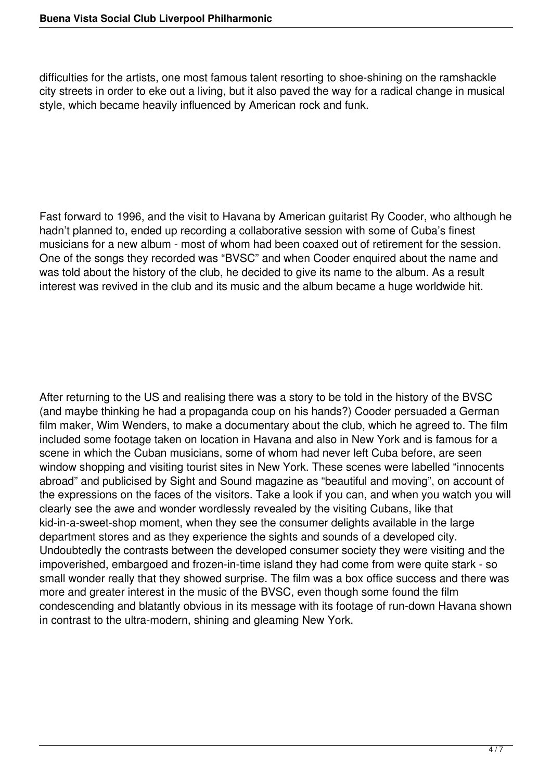difficulties for the artists, one most famous talent resorting to shoe-shining on the ramshackle city streets in order to eke out a living, but it also paved the way for a radical change in musical style, which became heavily influenced by American rock and funk.

Fast forward to 1996, and the visit to Havana by American guitarist Ry Cooder, who although he hadn't planned to, ended up recording a collaborative session with some of Cuba's finest musicians for a new album - most of whom had been coaxed out of retirement for the session. One of the songs they recorded was "BVSC" and when Cooder enquired about the name and was told about the history of the club, he decided to give its name to the album. As a result interest was revived in the club and its music and the album became a huge worldwide hit.

After returning to the US and realising there was a story to be told in the history of the BVSC (and maybe thinking he had a propaganda coup on his hands?) Cooder persuaded a German film maker, Wim Wenders, to make a documentary about the club, which he agreed to. The film included some footage taken on location in Havana and also in New York and is famous for a scene in which the Cuban musicians, some of whom had never left Cuba before, are seen window shopping and visiting tourist sites in New York. These scenes were labelled "innocents" abroad" and publicised by Sight and Sound magazine as "beautiful and moving", on account of the expressions on the faces of the visitors. Take a look if you can, and when you watch you will clearly see the awe and wonder wordlessly revealed by the visiting Cubans, like that kid-in-a-sweet-shop moment, when they see the consumer delights available in the large department stores and as they experience the sights and sounds of a developed city. Undoubtedly the contrasts between the developed consumer society they were visiting and the impoverished, embargoed and frozen-in-time island they had come from were quite stark - so small wonder really that they showed surprise. The film was a box office success and there was more and greater interest in the music of the BVSC, even though some found the film condescending and blatantly obvious in its message with its footage of run-down Havana shown in contrast to the ultra-modern, shining and gleaming New York.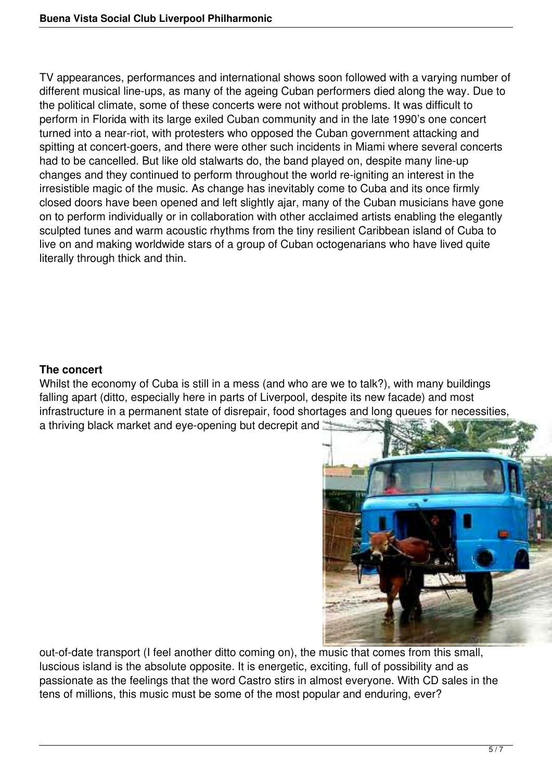TV appearances, performances and international shows soon followed with a varying number of different musical line-ups, as many of the ageing Cuban performers died along the way. Due to the political climate, some of these concerts were not without problems. It was difficult to perform in Florida with its large exiled Cuban community and in the late 1990's one concert turned into a near-riot, with protesters who opposed the Cuban government attacking and spitting at concert-goers, and there were other such incidents in Miami where several concerts had to be cancelled. But like old stalwarts do, the band played on, despite many line-up changes and they continued to perform throughout the world re-igniting an interest in the irresistible magic of the music. As change has inevitably come to Cuba and its once firmly closed doors have been opened and left slightly ajar, many of the Cuban musicians have gone on to perform individually or in collaboration with other acclaimed artists enabling the elegantly sculpted tunes and warm acoustic rhythms from the tiny resilient Caribbean island of Cuba to live on and making worldwide stars of a group of Cuban octogenarians who have lived quite literally through thick and thin.

## **The concert**

Whilst the economy of Cuba is still in a mess (and who are we to talk?), with many buildings falling apart (ditto, especially here in parts of Liverpool, despite its new facade) and most infrastructure in a permanent state of disrepair, food shortages and long queues for necessities, a thriving black market and eye-opening but decrepit and



out-of-date transport (I feel another ditto coming on), the music that comes from this small, luscious island is the absolute opposite. It is energetic, exciting, full of possibility and as passionate as the feelings that the word Castro stirs in almost everyone. With CD sales in the tens of millions, this music must be some of the most popular and enduring, ever?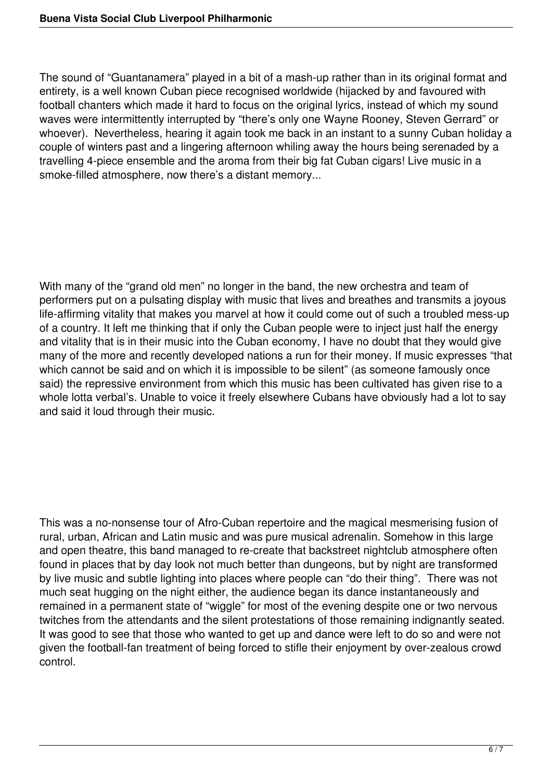The sound of "Guantanamera" played in a bit of a mash-up rather than in its original format and entirety, is a well known Cuban piece recognised worldwide (hijacked by and favoured with football chanters which made it hard to focus on the original lyrics, instead of which my sound waves were intermittently interrupted by "there's only one Wayne Rooney, Steven Gerrard" or whoever). Nevertheless, hearing it again took me back in an instant to a sunny Cuban holiday a couple of winters past and a lingering afternoon whiling away the hours being serenaded by a travelling 4-piece ensemble and the aroma from their big fat Cuban cigars! Live music in a smoke-filled atmosphere, now there's a distant memory...

With many of the "grand old men" no longer in the band, the new orchestra and team of performers put on a pulsating display with music that lives and breathes and transmits a joyous life-affirming vitality that makes you marvel at how it could come out of such a troubled mess-up of a country. It left me thinking that if only the Cuban people were to inject just half the energy and vitality that is in their music into the Cuban economy, I have no doubt that they would give many of the more and recently developed nations a run for their money. If music expresses "that which cannot be said and on which it is impossible to be silent" (as someone famously once said) the repressive environment from which this music has been cultivated has given rise to a whole lotta verbal's. Unable to voice it freely elsewhere Cubans have obviously had a lot to say and said it loud through their music.

This was a no-nonsense tour of Afro-Cuban repertoire and the magical mesmerising fusion of rural, urban, African and Latin music and was pure musical adrenalin. Somehow in this large and open theatre, this band managed to re-create that backstreet nightclub atmosphere often found in places that by day look not much better than dungeons, but by night are transformed by live music and subtle lighting into places where people can "do their thing". There was not much seat hugging on the night either, the audience began its dance instantaneously and remained in a permanent state of "wiggle" for most of the evening despite one or two nervous twitches from the attendants and the silent protestations of those remaining indignantly seated. It was good to see that those who wanted to get up and dance were left to do so and were not given the football-fan treatment of being forced to stifle their enjoyment by over-zealous crowd control.